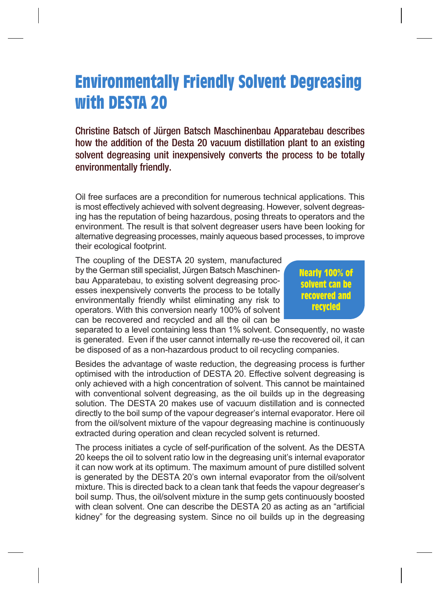## **Environmentally Friendly Solvent Degreasing with DESTA 20**

Christine Batsch of Jürgen Batsch Maschinenbau Apparatebau describes how the addition of the Desta 20 vacuum distillation plant to an existing solvent degreasing unit inexpensively converts the process to be totally environmentally friendly.

Oil free surfaces are a precondition for numerous technical applications. This is most effectively achieved with solvent degreasing. However, solvent degreasing has the reputation of being hazardous, posing threats to operators and the environment. The result is that solvent degreaser users have been looking for alternative degreasing processes, mainly aqueous based processes, to improve their ecological footprint.

The coupling of the DESTA 20 system, manufactured by the German still specialist, Jürgen Batsch Maschinenbau Apparatebau, to existing solvent degreasing processes inexpensively converts the process to be totally environmentally friendly whilst eliminating any risk to operators. With this conversion nearly 100% of solvent can be recovered and recycled and all the oil can be

**Nearly 100% of solvent can be recovered and recycled**

separated to a level containing less than 1% solvent. Consequently, no waste is generated. Even if the user cannot internally re-use the recovered oil, it can be disposed of as a non-hazardous product to oil recycling companies.

Besides the advantage of waste reduction, the degreasing process is further optimised with the introduction of DESTA 20. Effective solvent degreasing is only achieved with a high concentration of solvent. This cannot be maintained with conventional solvent degreasing, as the oil builds up in the degreasing solution. The DESTA 20 makes use of vacuum distillation and is connected directly to the boil sump of the vapour degreaser's internal evaporator. Here oil from the oil/solvent mixture of the vapour degreasing machine is continuously extracted during operation and clean recycled solvent is returned.

The process initiates a cycle of self-purification of the solvent. As the DESTA 20 keeps the oil to solvent ratio low in the degreasing unit's internal evaporator it can now work at its optimum. The maximum amount of pure distilled solvent is generated by the DESTA 20's own internal evaporator from the oil/solvent mixture. This is directed back to a clean tank that feeds the vapour degreaser's boil sump. Thus, the oil/solvent mixture in the sump gets continuously boosted with clean solvent. One can describe the DESTA 20 as acting as an "artificial kidney" for the degreasing system. Since no oil builds up in the degreasing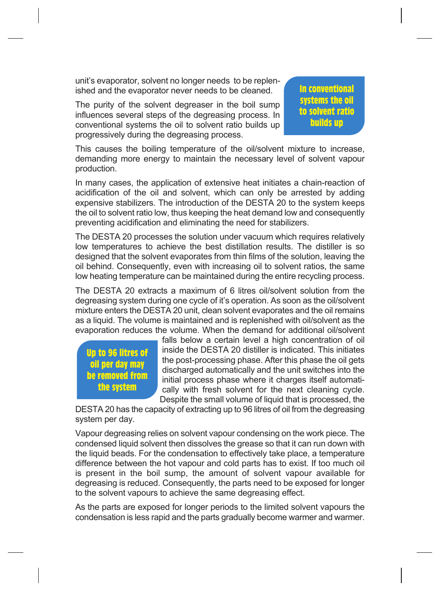unit's evaporator, solvent no longer needs to be replenished and the evaporator never needs to be cleaned.

The purity of the solvent degreaser in the boil sump influences several steps of the degreasing process. In conventional systems the oil to solvent ratio builds up progressively during the degreasing process.

**In conventional systems the oil to solvent ratio builds up**

This causes the boiling temperature of the oil/solvent mixture to increase, demanding more energy to maintain the necessary level of solvent vapour production.

In many cases, the application of extensive heat initiates a chain-reaction of acidification of the oil and solvent, which can only be arrested by adding expensive stabilizers. The introduction of the DESTA 20 to the system keeps the oil to solvent ratio low, thus keeping the heat demand low and consequently preventing acidification and eliminating the need for stabilizers.

The DESTA 20 processes the solution under vacuum which requires relatively low temperatures to achieve the best distillation results. The distiller is so designed that the solvent evaporates from thin films of the solution, leaving the oil behind. Consequently, even with increasing oil to solvent ratios, the same low heating temperature can be maintained during the entire recycling process.

The DESTA 20 extracts a maximum of 6 litres oil/solvent solution from the degreasing system during one cycle of it's operation. As soon as the oil/solvent mixture enters the DESTA 20 unit, clean solvent evaporates and the oil remains as a liquid. The volume is maintained and is replenished with oil/solvent as the evaporation reduces the volume. When the demand for additional oil/solvent

**Up to 96 litres of oil per day may be removed from the system**

falls below a certain level a high concentration of oil inside the DESTA 20 distiller is indicated. This initiates the post-processing phase. After this phase the oil gets discharged automatically and the unit switches into the initial process phase where it charges itself automatically with fresh solvent for the next cleaning cycle. Despite the small volume of liquid that is processed, the

DESTA 20 has the capacity of extracting up to 96 litres of oil from the degreasing system per day.

Vapour degreasing relies on solvent vapour condensing on the work piece. The condensed liquid solvent then dissolves the grease so that it can run down with the liquid beads. For the condensation to effectively take place, a temperature difference between the hot vapour and cold parts has to exist. If too much oil is present in the boil sump, the amount of solvent vapour available for degreasing is reduced. Consequently, the parts need to be exposed for longer to the solvent vapours to achieve the same degreasing effect.

As the parts are exposed for longer periods to the limited solvent vapours the condensation is less rapid and the parts gradually become warmer and warmer.